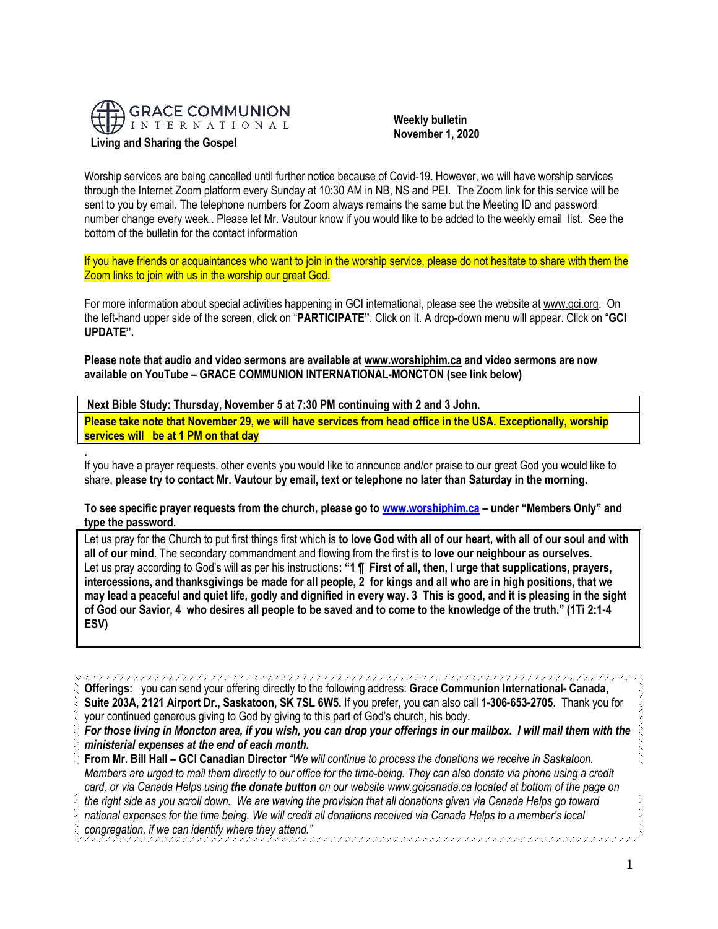

**Living and Sharing the Gospel**

 **Weekly bulletin November 1, 2020**

Worship services are being cancelled until further notice because of Covid-19. However, we will have worship services through the Internet Zoom platform every Sunday at 10:30 AM in NB, NS and PEI. The Zoom link for this service will be sent to you by email. The telephone numbers for Zoom always remains the same but the Meeting ID and password number change every week.. Please let Mr. Vautour know if you would like to be added to the weekly email list. See the bottom of the bulletin for the contact information

If you have friends or acquaintances who want to join in the worship service, please do not hesitate to share with them the Zoom links to join with us in the worship our great God.

For more information about special activities happening in GCI international, please see the website a[t www.gci.org.](http://www.gci.org/) On the left-hand upper side of the screen, click on "**PARTICIPATE"**. Click on it. A drop-down menu will appear. Click on "**GCI UPDATE".**

**Please note that audio and video sermons are available at [www.worshiphim.ca](http://www.worshiphim.ca/) and video sermons are now available on YouTube – GRACE COMMUNION INTERNATIONAL-MONCTON (see link below)** 

**Next Bible Study: Thursday, November 5 at 7:30 PM continuing with 2 and 3 John. Please take note that November 29, we will have services from head office in the USA. Exceptionally, worship services will be at 1 PM on that day**

**.** If you have a prayer requests, other events you would like to announce and/or praise to our great God you would like to share, **please try to contact Mr. Vautour by email, text or telephone no later than Saturday in the morning.**

**To see specific prayer requests from the church, please go to [www.worshiphim.ca](http://www.worshiphim.ca/) – under "Members Only" and type the password.**

Let us pray for the Church to put first things first which is **to love God with all of our heart, with all of our soul and with all of our mind.** The secondary commandment and flowing from the first is **to love our neighbour as ourselves.** Let us pray according to God's will as per his instructions**: "1 ¶ First of all, then, I urge that supplications, prayers, intercessions, and thanksgivings be made for all people, 2 for kings and all who are in high positions, that we may lead a peaceful and quiet life, godly and dignified in every way. 3 This is good, and it is pleasing in the sight of God our Savior, 4 who desires all people to be saved and to come to the knowledge of the truth." (1Ti 2:1-4 ESV)**

**Offerings:** you can send your offering directly to the following address: **Grace Communion International- Canada, Suite 203A, 2121 Airport Dr., Saskatoon, SK 7SL 6W5.** If you prefer, you can also call **1-306-653-2705.** Thank you for your continued generous giving to God by giving to this part of God's church, his body. *For those living in Moncton area, if you wish, you can drop your offerings in our mailbox. I will mail them with the ministerial expenses at the end of each month.*  **From Mr. Bill Hall – GCI Canadian Director** *"We will continue to process the donations we receive in Saskatoon. Members are urged to mail them directly to our office for the time-being. They can also donate via phone using a credit card, or via Canada Helps using the donate button on our websit[e www.gcicanada.ca](https://eur03.safelinks.protection.outlook.com/?url=http%3A%2F%2Fwww.gcicanada.ca%2F&data=02%7C01%7C%7C9fd93e29c2b44509e5a008d7caa78fdb%7C84df9e7fe9f640afb435aaaaaaaaaaaa%7C1%7C0%7C637200693331983394&sdata=VAGy4Q%2BxbhHuYaeEiDz%2FQyicT%2FoiY4Ir9kc8w5yHRPs%3D&reserved=0) located at bottom of the page on the right side as you scroll down. We are waving the provision that all donations given via Canada Helps go toward national expenses for the time being. We will credit all donations received via Canada Helps to a member's local congregation, if we can identify where they attend."*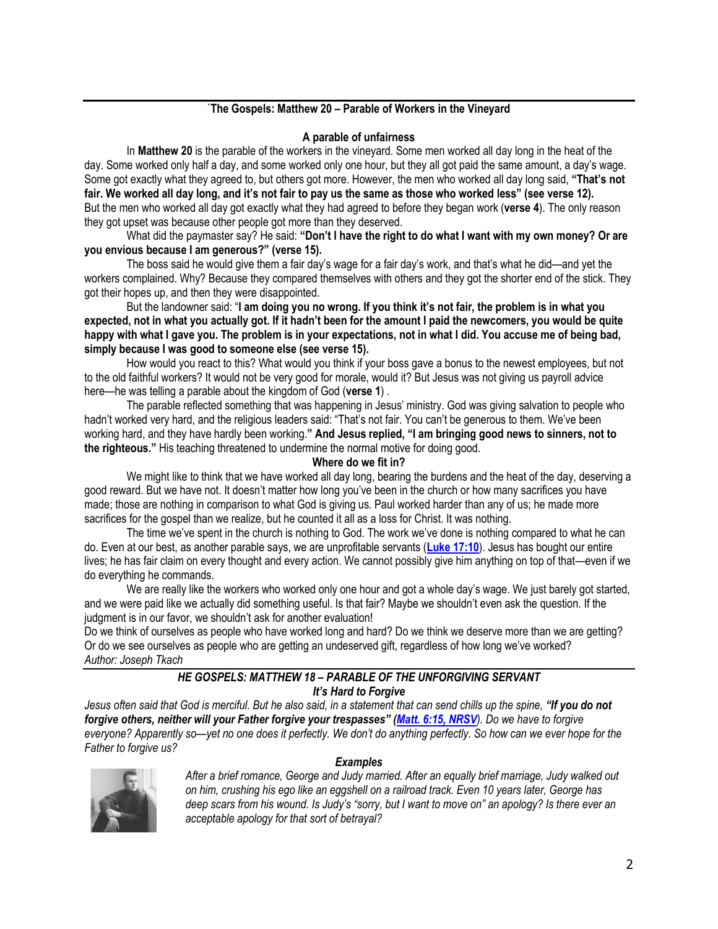# `**The Gospels: Matthew 20 – Parable of Workers in the Vineyard**

#### **A parable of unfairness**

In **Matthew 20** is the parable of the workers in the vineyard. Some men worked all day long in the heat of the day. Some worked only half a day, and some worked only one hour, but they all got paid the same amount, a day's wage. Some got exactly what they agreed to, but others got more. However, the men who worked all day long said, **"That's not fair. We worked all day long, and it's not fair to pay us the same as those who worked less" (see verse 12).** But the men who worked all day got exactly what they had agreed to before they began work (**verse 4**). The only reason they got upset was because other people got more than they deserved.

What did the paymaster say? He said: **"Don't I have the right to do what I want with my own money? Or are you envious because I am generous?" (verse 15).**

The boss said he would give them a fair day's wage for a fair day's work, and that's what he did—and yet the workers complained. Why? Because they compared themselves with others and they got the shorter end of the stick. They got their hopes up, and then they were disappointed.

But the landowner said: "**I am doing you no wrong. If you think it's not fair, the problem is in what you expected, not in what you actually got. If it hadn't been for the amount I paid the newcomers, you would be quite happy with what I gave you. The problem is in your expectations, not in what I did. You accuse me of being bad, simply because I was good to someone else (see verse 15).**

How would you react to this? What would you think if your boss gave a bonus to the newest employees, but not to the old faithful workers? It would not be very good for morale, would it? But Jesus was not giving us payroll advice here—he was telling a parable about the kingdom of God (**verse 1**) .

The parable reflected something that was happening in Jesus' ministry. God was giving salvation to people who hadn't worked very hard, and the religious leaders said: "That's not fair. You can't be generous to them. We've been working hard, and they have hardly been working.**" And Jesus replied, "I am bringing good news to sinners, not to the righteous."** His teaching threatened to undermine the normal motive for doing good.

#### **Where do we fit in?**

We might like to think that we have worked all day long, bearing the burdens and the heat of the day, deserving a good reward. But we have not. It doesn't matter how long you've been in the church or how many sacrifices you have made; those are nothing in comparison to what God is giving us. Paul worked harder than any of us; he made more sacrifices for the gospel than we realize, but he counted it all as a loss for Christ. It was nothing.

The time we've spent in the church is nothing to God. The work we've done is nothing compared to what he can do. Even at our best, as another parable says, we are unprofitable servants (**[Luke 17:10](https://biblia.com/bible/niv/Luke%2017.10)**). Jesus has bought our entire lives; he has fair claim on every thought and every action. We cannot possibly give him anything on top of that—even if we do everything he commands.

We are really like the workers who worked only one hour and got a whole day's wage. We just barely got started, and we were paid like we actually did something useful. Is that fair? Maybe we shouldn't even ask the question. If the judgment is in our favor, we shouldn't ask for another evaluation!

Do we think of ourselves as people who have worked long and hard? Do we think we deserve more than we are getting? Or do we see ourselves as people who are getting an undeserved gift, regardless of how long we've worked? *Author: Joseph Tkach*

### *HE GOSPELS: MATTHEW 18 – PARABLE OF THE UNFORGIVING SERVANT It's Hard to Forgive*

*Jesus often said that God is merciful. But he also said, in a statement that can send chills up the spine, "If you do not forgive others, neither will your Father forgive your trespasses" ([Matt. 6:15, NRSV](https://biblia.com/bible/nrsv/Matt.%206.15)). Do we have to forgive everyone? Apparently so—yet no one does it perfectly. We don't do anything perfectly. So how can we ever hope for the Father to forgive us?*



### *Examples*

*After a brief romance, George and Judy married. After an equally brief marriage, Judy walked out on him, crushing his ego like an eggshell on a railroad track. Even 10 years later, George has deep scars from his wound. Is Judy's "sorry, but I want to move on" an apology? Is there ever an acceptable apology for that sort of betrayal?*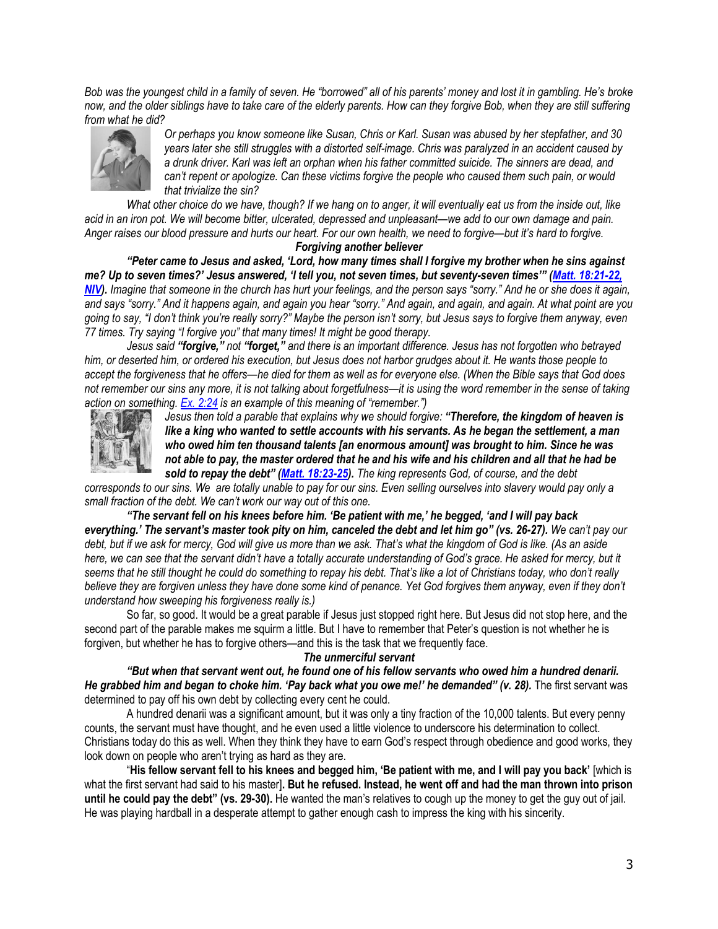*Bob was the youngest child in a family of seven. He "borrowed" all of his parents' money and lost it in gambling. He's broke now, and the older siblings have to take care of the elderly parents. How can they forgive Bob, when they are still suffering from what he did?*



*Or perhaps you know someone like Susan, Chris or Karl. Susan was abused by her stepfather, and 30 years later she still struggles with a distorted self-image. Chris was paralyzed in an accident caused by a drunk driver. Karl was left an orphan when his father committed suicide. The sinners are dead, and can't repent or apologize. Can these victims forgive the people who caused them such pain, or would that trivialize the sin?*

*What other choice do we have, though? If we hang on to anger, it will eventually eat us from the inside out, like acid in an iron pot. We will become bitter, ulcerated, depressed and unpleasant—we add to our own damage and pain. Anger raises our blood pressure and hurts our heart. For our own health, we need to forgive—but it's hard to forgive.*

# *Forgiving another believer*

*"Peter came to Jesus and asked, 'Lord, how many times shall I forgive my brother when he sins against me? Up to seven times?' Jesus answered, 'I tell you, not seven times, but seventy-seven times'" ([Matt. 18:21-22,](https://biblia.com/bible/niv/Matt.%2018.21-22)  [NIV\)](https://biblia.com/bible/niv/Matt.%2018.21-22). Imagine that someone in the church has hurt your feelings, and the person says "sorry." And he or she does it again, and says "sorry." And it happens again, and again you hear "sorry." And again, and again, and again. At what point are you going to say, "I don't think you're really sorry?" Maybe the person isn't sorry, but Jesus says to forgive them anyway, even 77 times. Try saying "I forgive you" that many times! It might be good therapy.*

*Jesus said "forgive," not "forget," and there is an important difference. Jesus has not forgotten who betrayed him, or deserted him, or ordered his execution, but Jesus does not harbor grudges about it. He wants those people to accept the forgiveness that he offers—he died for them as well as for everyone else. (When the Bible says that God does not remember our sins any more, it is not talking about forgetfulness—it is using the word remember in the sense of taking action on something. [Ex. 2:24](https://biblia.com/bible/niv/Exod.%202.24) is an example of this meaning of "remember.")*



*Jesus then told a parable that explains why we should forgive: "Therefore, the kingdom of heaven is like a king who wanted to settle accounts with his servants. As he began the settlement, a man who owed him ten thousand talents [an enormous amount] was brought to him. Since he was not able to pay, the master ordered that he and his wife and his children and all that he had be sold to repay the debt" ([Matt. 18:23-25\)](https://biblia.com/bible/niv/Matt.%2018.23-25). The king represents God, of course, and the debt* 

*corresponds to our sins. We are totally unable to pay for our sins. Even selling ourselves into slavery would pay only a small fraction of the debt. We can't work our way out of this one.*

*"The servant fell on his knees before him. 'Be patient with me,' he begged, 'and I will pay back everything.' The servant's master took pity on him, canceled the debt and let him go" (vs. 26-27). We can't pay our debt, but if we ask for mercy, God will give us more than we ask. That's what the kingdom of God is like. (As an aside*  here, we can see that the servant didn't have a totally accurate understanding of God's grace. He asked for mercy, but it *seems that he still thought he could do something to repay his debt. That's like a lot of Christians today, who don't really believe they are forgiven unless they have done some kind of penance. Yet God forgives them anyway, even if they don't understand how sweeping his forgiveness really is.)*

So far, so good. It would be a great parable if Jesus just stopped right here. But Jesus did not stop here, and the second part of the parable makes me squirm a little. But I have to remember that Peter's question is not whether he is forgiven, but whether he has to forgive others—and this is the task that we frequently face.

# *The unmerciful servant*

*"But when that servant went out, he found one of his fellow servants who owed him a hundred denarii. He grabbed him and began to choke him. 'Pay back what you owe me!' he demanded" (v. 28).* The first servant was determined to pay off his own debt by collecting every cent he could.

A hundred denarii was a significant amount, but it was only a tiny fraction of the 10,000 talents. But every penny counts, the servant must have thought, and he even used a little violence to underscore his determination to collect. Christians today do this as well. When they think they have to earn God's respect through obedience and good works, they look down on people who aren't trying as hard as they are.

"**His fellow servant fell to his knees and begged him, 'Be patient with me, and I will pay you back'** [which is what the first servant had said to his master]**. But he refused. Instead, he went off and had the man thrown into prison until he could pay the debt" (vs. 29-30).** He wanted the man's relatives to cough up the money to get the guy out of jail. He was playing hardball in a desperate attempt to gather enough cash to impress the king with his sincerity.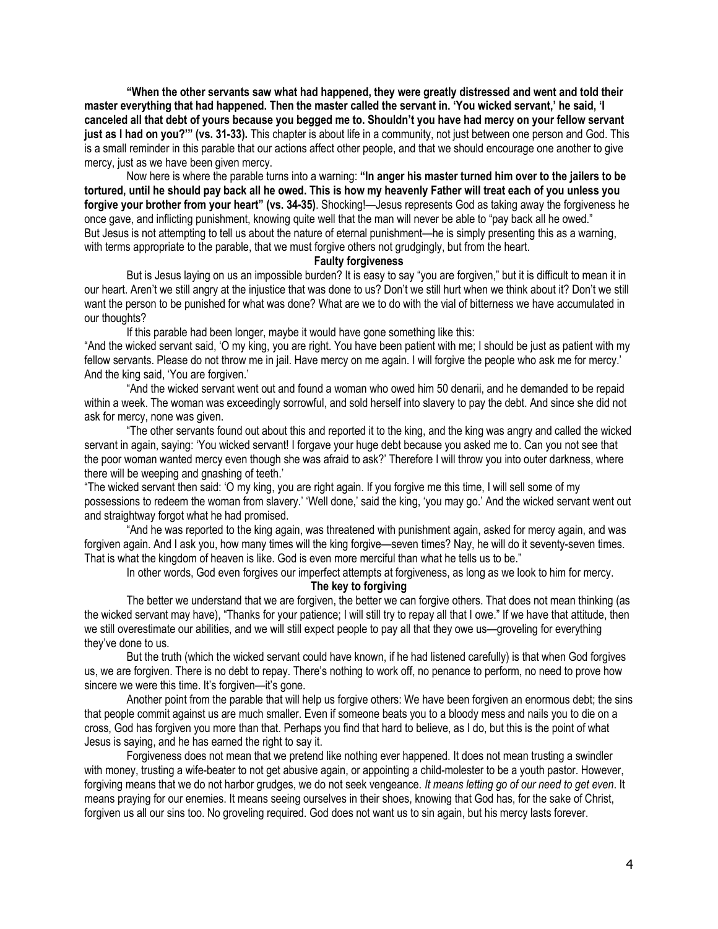**"When the other servants saw what had happened, they were greatly distressed and went and told their master everything that had happened. Then the master called the servant in. 'You wicked servant,' he said, 'I canceled all that debt of yours because you begged me to. Shouldn't you have had mercy on your fellow servant just as I had on you?'" (vs. 31-33).** This chapter is about life in a community, not just between one person and God. This is a small reminder in this parable that our actions affect other people, and that we should encourage one another to give mercy, just as we have been given mercy.

Now here is where the parable turns into a warning: **"In anger his master turned him over to the jailers to be tortured, until he should pay back all he owed. This is how my heavenly Father will treat each of you unless you forgive your brother from your heart" (vs. 34-35)**. Shocking!—Jesus represents God as taking away the forgiveness he once gave, and inflicting punishment, knowing quite well that the man will never be able to "pay back all he owed." But Jesus is not attempting to tell us about the nature of eternal punishment—he is simply presenting this as a warning, with terms appropriate to the parable, that we must forgive others not grudgingly, but from the heart.

#### **Faulty forgiveness**

But is Jesus laying on us an impossible burden? It is easy to say "you are forgiven," but it is difficult to mean it in our heart. Aren't we still angry at the injustice that was done to us? Don't we still hurt when we think about it? Don't we still want the person to be punished for what was done? What are we to do with the vial of bitterness we have accumulated in our thoughts?

If this parable had been longer, maybe it would have gone something like this:

"And the wicked servant said, 'O my king, you are right. You have been patient with me; I should be just as patient with my fellow servants. Please do not throw me in jail. Have mercy on me again. I will forgive the people who ask me for mercy.' And the king said, 'You are forgiven.'

"And the wicked servant went out and found a woman who owed him 50 denarii, and he demanded to be repaid within a week. The woman was exceedingly sorrowful, and sold herself into slavery to pay the debt. And since she did not ask for mercy, none was given.

"The other servants found out about this and reported it to the king, and the king was angry and called the wicked servant in again, saying: 'You wicked servant! I forgave your huge debt because you asked me to. Can you not see that the poor woman wanted mercy even though she was afraid to ask?' Therefore I will throw you into outer darkness, where there will be weeping and gnashing of teeth.'

"The wicked servant then said: 'O my king, you are right again. If you forgive me this time, I will sell some of my possessions to redeem the woman from slavery.' 'Well done,' said the king, 'you may go.' And the wicked servant went out and straightway forgot what he had promised.

"And he was reported to the king again, was threatened with punishment again, asked for mercy again, and was forgiven again. And I ask you, how many times will the king forgive—seven times? Nay, he will do it seventy-seven times. That is what the kingdom of heaven is like. God is even more merciful than what he tells us to be."

In other words, God even forgives our imperfect attempts at forgiveness, as long as we look to him for mercy.

### **The key to forgiving**

The better we understand that we are forgiven, the better we can forgive others. That does not mean thinking (as the wicked servant may have), "Thanks for your patience; I will still try to repay all that I owe." If we have that attitude, then we still overestimate our abilities, and we will still expect people to pay all that they owe us—groveling for everything they've done to us.

But the truth (which the wicked servant could have known, if he had listened carefully) is that when God forgives us, we are forgiven. There is no debt to repay. There's nothing to work off, no penance to perform, no need to prove how sincere we were this time. It's forgiven—it's gone.

Another point from the parable that will help us forgive others: We have been forgiven an enormous debt; the sins that people commit against us are much smaller. Even if someone beats you to a bloody mess and nails you to die on a cross, God has forgiven you more than that. Perhaps you find that hard to believe, as I do, but this is the point of what Jesus is saying, and he has earned the right to say it.

Forgiveness does not mean that we pretend like nothing ever happened. It does not mean trusting a swindler with money, trusting a wife-beater to not get abusive again, or appointing a child-molester to be a youth pastor. However, forgiving means that we do not harbor grudges, we do not seek vengeance. *It means letting go of our need to get even*. It means praying for our enemies. It means seeing ourselves in their shoes, knowing that God has, for the sake of Christ, forgiven us all our sins too. No groveling required. God does not want us to sin again, but his mercy lasts forever.